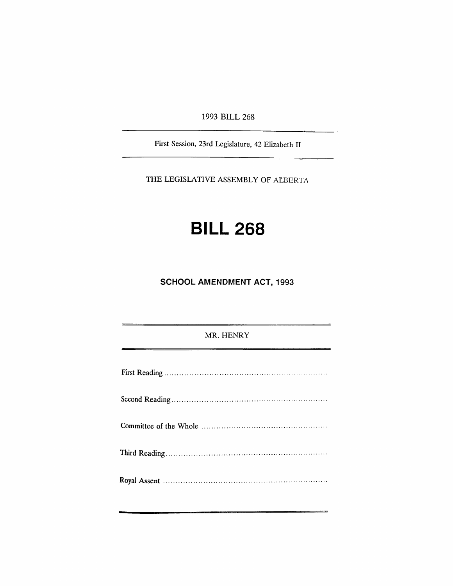1993 BILL 268

First Session, 23rd Legislature, 42 Elizabeth II

THE LEGISLATIVE ASSEMBLY OF AtBERTA

# **BILL 268**

**SCHOOL AMENDMENT ACT, 1993**

### MR. HENRY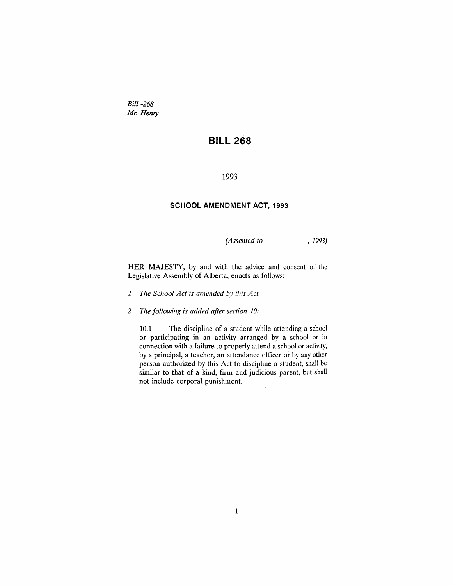*Bill-268 Mr. Henry*

# **BILL 268**

#### 1993

#### **SCHOOL AMENDMENT ACT, 1993**

*(Assented to* , 1993)

HER MAJESTY, by and with the advice and consent of the Legislative Assembly of Alberta, enacts as follows:

*1 The School Act "is amended* by *this Act.*

*2 The following is added after section 10:*

10.1 The discipline of a student while attending a school or participating in an activity arranged by a school or in connection with a failure to properly attend a school or activity, by a principal, a teacher, an attendance officer or by any other person authorized by this Act to discipline a student, shall be similar to that of a kind, firm and judicious parent, but shall not include corporal punishment.